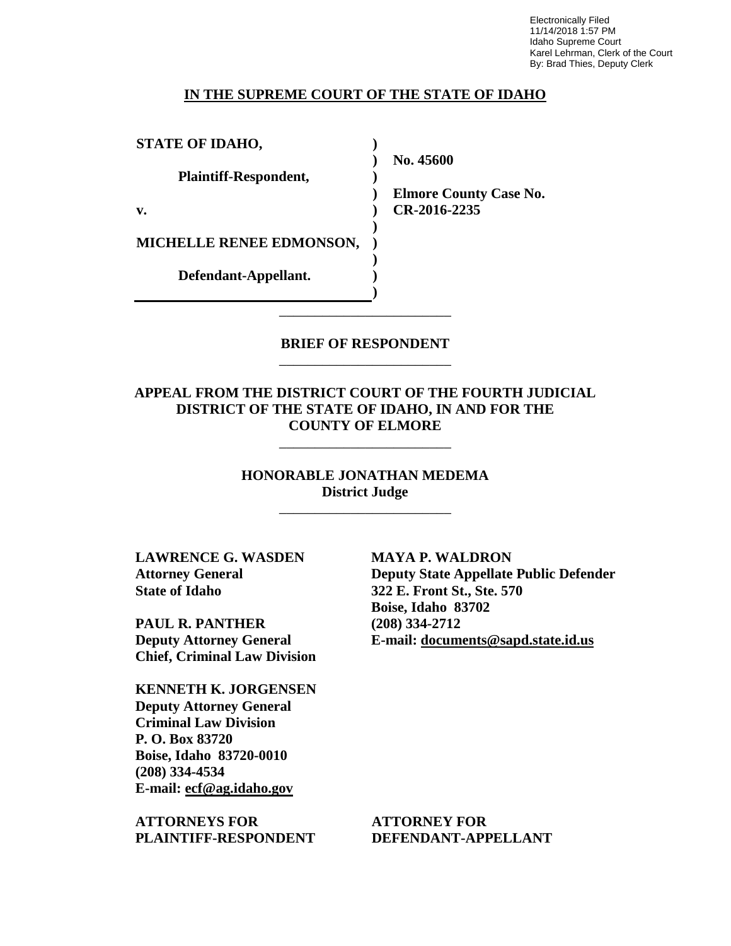Electronically Filed 11/14/2018 1:57 PM Idaho Supreme Court Karel Lehrman, Clerk of the Court By: Brad Thies, Deputy Clerk

## **IN THE SUPREME COURT OF THE STATE OF IDAHO**

**) ) ) ) ) ) ) ) ) )**

**STATE OF IDAHO,**

**Plaintiff-Respondent,**

**v.** 

**MICHELLE RENEE EDMONSON,** 

**Defendant-Appellant.**

**No. 45600** 

**Elmore County Case No. CR-2016-2235** 

## **BRIEF OF RESPONDENT** \_\_\_\_\_\_\_\_\_\_\_\_\_\_\_\_\_\_\_\_\_\_\_\_

\_\_\_\_\_\_\_\_\_\_\_\_\_\_\_\_\_\_\_\_\_\_\_\_

## **APPEAL FROM THE DISTRICT COURT OF THE FOURTH JUDICIAL DISTRICT OF THE STATE OF IDAHO, IN AND FOR THE COUNTY OF ELMORE**

\_\_\_\_\_\_\_\_\_\_\_\_\_\_\_\_\_\_\_\_\_\_\_\_

## **HONORABLE JONATHAN MEDEMA District Judge**

\_\_\_\_\_\_\_\_\_\_\_\_\_\_\_\_\_\_\_\_\_\_\_\_

**LAWRENCE G. WASDEN Attorney General State of Idaho**

**PAUL R. PANTHER Deputy Attorney General Chief, Criminal Law Division**

**KENNETH K. JORGENSEN Deputy Attorney General Criminal Law Division P. O. Box 83720 Boise, Idaho 83720-0010 (208) 334-4534 E-mail: ecf@ag.idaho.gov** 

**ATTORNEYS FOR PLAINTIFF-RESPONDENT** **MAYA P. WALDRON Deputy State Appellate Public Defender 322 E. Front St., Ste. 570 Boise, Idaho 83702 (208) 334-2712 E-mail: documents@sapd.state.id.us** 

**ATTORNEY FOR DEFENDANT-APPELLANT**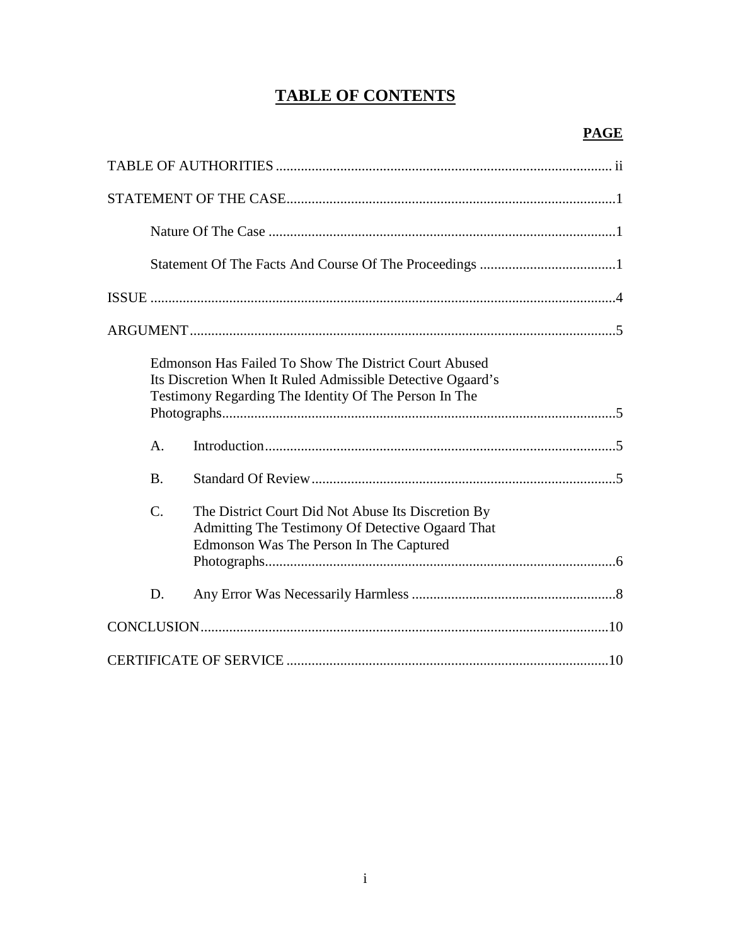# **TABLE OF CONTENTS**

|                 | Edmonson Has Failed To Show The District Court Abused<br>Its Discretion When It Ruled Admissible Detective Ogaard's<br>Testimony Regarding The Identity Of The Person In The |
|-----------------|------------------------------------------------------------------------------------------------------------------------------------------------------------------------------|
| A.              |                                                                                                                                                                              |
| <b>B.</b>       |                                                                                                                                                                              |
| $\mathcal{C}$ . | The District Court Did Not Abuse Its Discretion By<br>Admitting The Testimony Of Detective Ogaard That<br>Edmonson Was The Person In The Captured                            |
| D.              |                                                                                                                                                                              |
|                 |                                                                                                                                                                              |
|                 |                                                                                                                                                                              |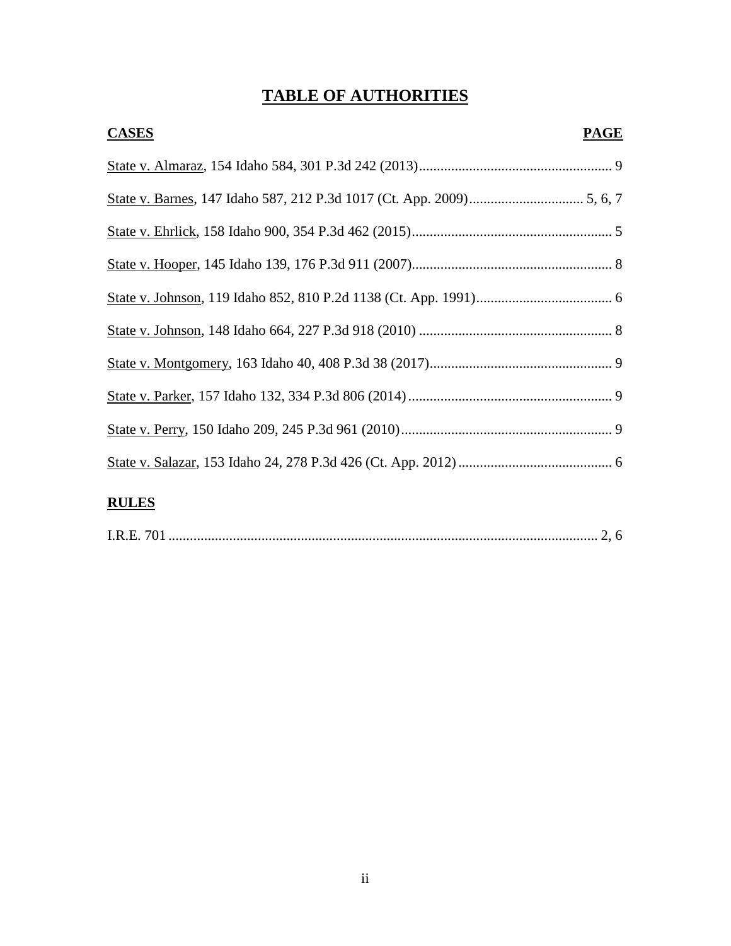# **TABLE OF AUTHORITIES**

| <b>CASES</b> | <b>PAGE</b> |
|--------------|-------------|
|              |             |
|              |             |
|              |             |
|              |             |
|              |             |
|              |             |
|              |             |
|              |             |
|              |             |
|              |             |
| <b>RULES</b> |             |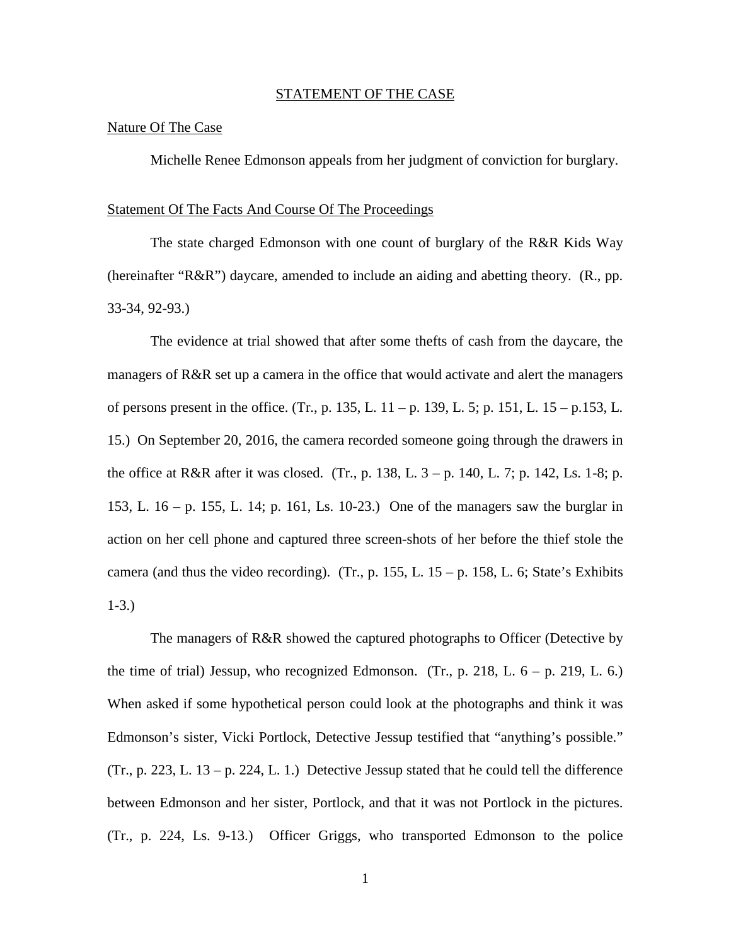#### STATEMENT OF THE CASE

## Nature Of The Case

Michelle Renee Edmonson appeals from her judgment of conviction for burglary.

### Statement Of The Facts And Course Of The Proceedings

The state charged Edmonson with one count of burglary of the R&R Kids Way (hereinafter "R&R") daycare, amended to include an aiding and abetting theory. (R., pp. 33-34, 92-93.)

The evidence at trial showed that after some thefts of cash from the daycare, the managers of R&R set up a camera in the office that would activate and alert the managers of persons present in the office. (Tr., p. 135, L. 11 – p. 139, L. 5; p. 151, L. 15 – p.153, L. 15.) On September 20, 2016, the camera recorded someone going through the drawers in the office at R&R after it was closed. (Tr., p. 138, L.  $3 - p$ . 140, L. 7; p. 142, Ls. 1-8; p. 153, L. 16 – p. 155, L. 14; p. 161, Ls. 10-23.) One of the managers saw the burglar in action on her cell phone and captured three screen-shots of her before the thief stole the camera (and thus the video recording). (Tr., p. 155, L.  $15 - p$ . 158, L. 6; State's Exhibits 1-3.)

The managers of R&R showed the captured photographs to Officer (Detective by the time of trial) Jessup, who recognized Edmonson. (Tr., p. 218, L.  $6 - p$ . 219, L.  $6$ .) When asked if some hypothetical person could look at the photographs and think it was Edmonson's sister, Vicki Portlock, Detective Jessup testified that "anything's possible."  $(Tr, p. 223, L. 13 - p. 224, L. 1.)$  Detective Jessup stated that he could tell the difference between Edmonson and her sister, Portlock, and that it was not Portlock in the pictures. (Tr., p. 224, Ls. 9-13.) Officer Griggs, who transported Edmonson to the police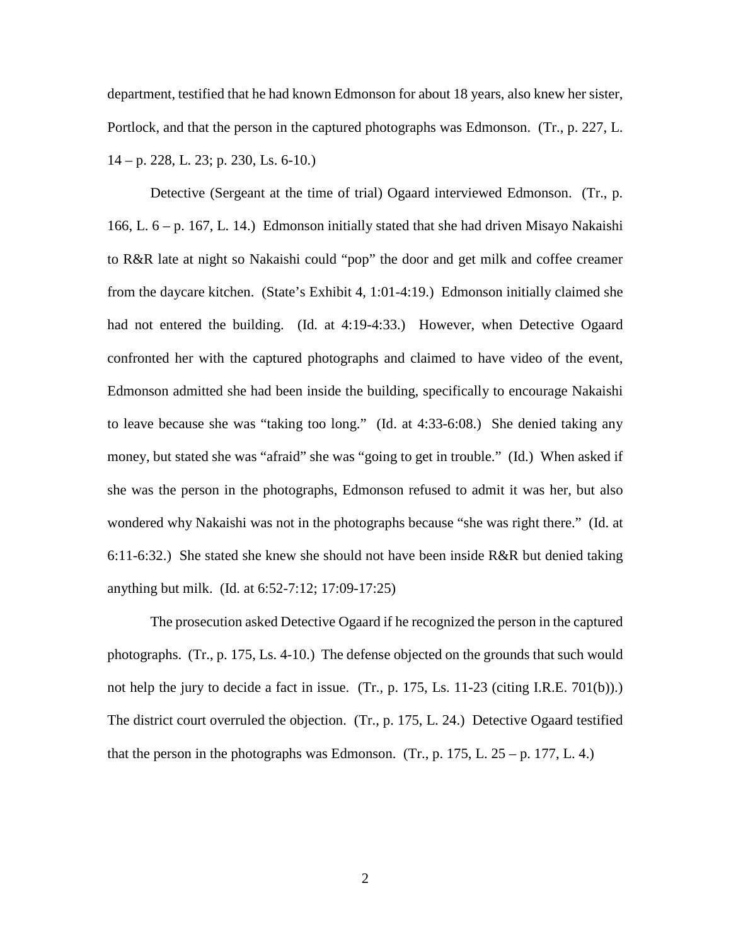department, testified that he had known Edmonson for about 18 years, also knew her sister, Portlock, and that the person in the captured photographs was Edmonson. (Tr., p. 227, L.  $14 - p. 228$ , L. 23; p. 230, Ls. 6-10.)

Detective (Sergeant at the time of trial) Ogaard interviewed Edmonson. (Tr., p. 166, L. 6 – p. 167, L. 14.) Edmonson initially stated that she had driven Misayo Nakaishi to R&R late at night so Nakaishi could "pop" the door and get milk and coffee creamer from the daycare kitchen. (State's Exhibit 4, 1:01-4:19.) Edmonson initially claimed she had not entered the building. (Id. at 4:19-4:33.) However, when Detective Ogaard confronted her with the captured photographs and claimed to have video of the event, Edmonson admitted she had been inside the building, specifically to encourage Nakaishi to leave because she was "taking too long." (Id. at 4:33-6:08.) She denied taking any money, but stated she was "afraid" she was "going to get in trouble." (Id.) When asked if she was the person in the photographs, Edmonson refused to admit it was her, but also wondered why Nakaishi was not in the photographs because "she was right there." (Id. at 6:11-6:32.) She stated she knew she should not have been inside R&R but denied taking anything but milk. (Id. at 6:52-7:12; 17:09-17:25)

The prosecution asked Detective Ogaard if he recognized the person in the captured photographs. (Tr., p. 175, Ls. 4-10.) The defense objected on the grounds that such would not help the jury to decide a fact in issue. (Tr., p. 175, Ls. 11-23 (citing I.R.E. 701(b)).) The district court overruled the objection. (Tr., p. 175, L. 24.) Detective Ogaard testified that the person in the photographs was Edmonson. (Tr., p. 175, L.  $25 - p$ , 177, L. 4.)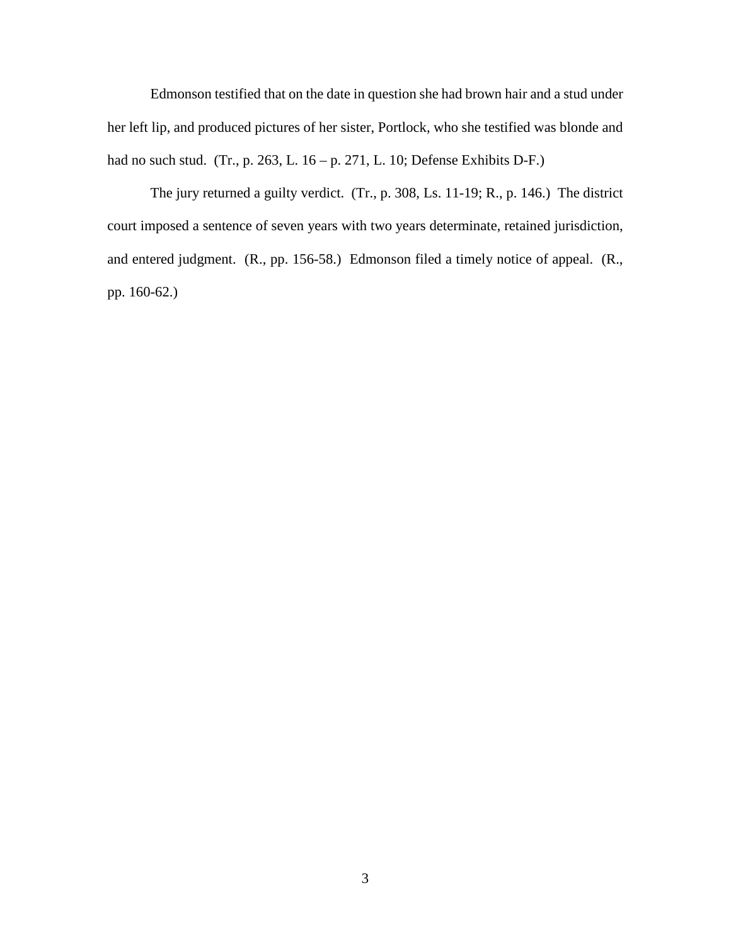Edmonson testified that on the date in question she had brown hair and a stud under her left lip, and produced pictures of her sister, Portlock, who she testified was blonde and had no such stud. (Tr., p. 263, L. 16 – p. 271, L. 10; Defense Exhibits D-F.)

The jury returned a guilty verdict. (Tr., p. 308, Ls. 11-19; R., p. 146.) The district court imposed a sentence of seven years with two years determinate, retained jurisdiction, and entered judgment. (R., pp. 156-58.) Edmonson filed a timely notice of appeal. (R., pp. 160-62.)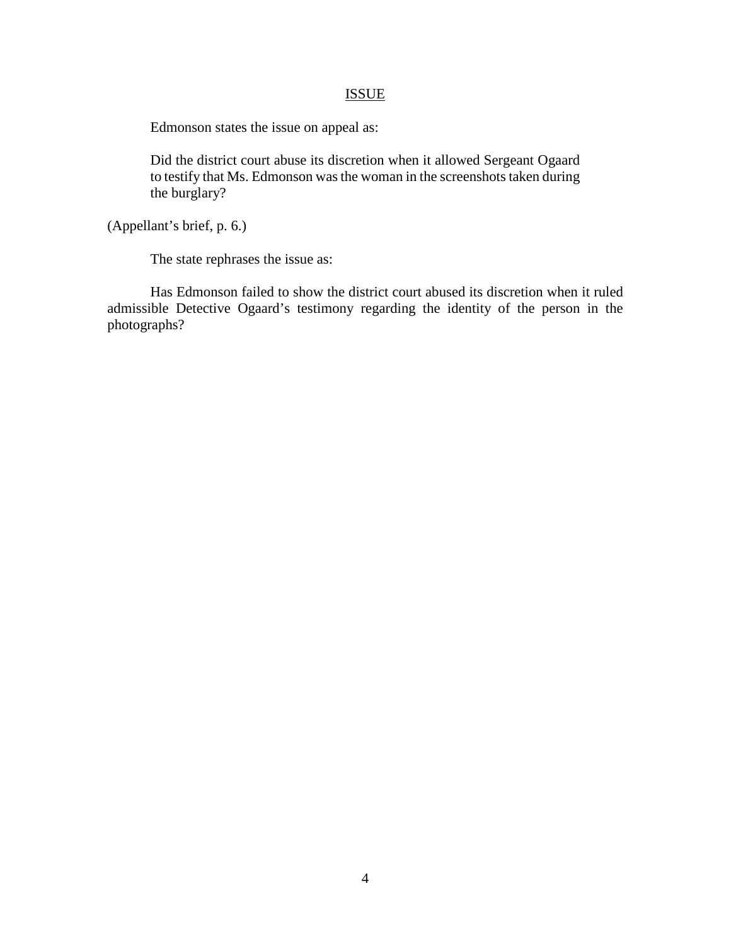# **ISSUE**

Edmonson states the issue on appeal as:

Did the district court abuse its discretion when it allowed Sergeant Ogaard to testify that Ms. Edmonson was the woman in the screenshots taken during the burglary?

(Appellant's brief, p. 6.)

The state rephrases the issue as:

Has Edmonson failed to show the district court abused its discretion when it ruled admissible Detective Ogaard's testimony regarding the identity of the person in the photographs?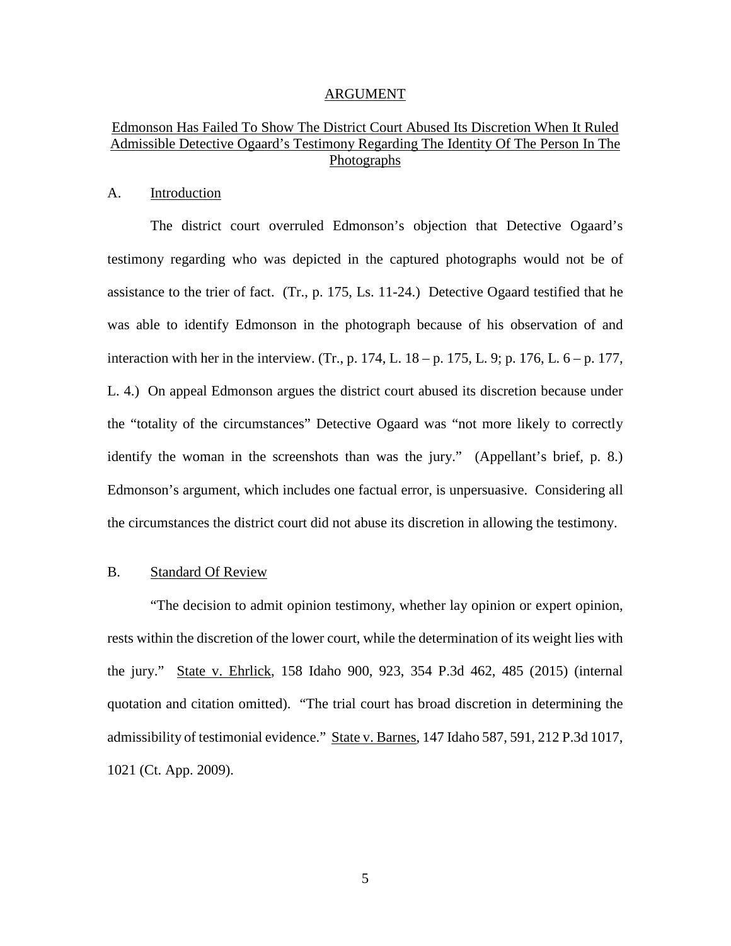#### ARGUMENT

# Edmonson Has Failed To Show The District Court Abused Its Discretion When It Ruled Admissible Detective Ogaard's Testimony Regarding The Identity Of The Person In The Photographs

### A. Introduction

The district court overruled Edmonson's objection that Detective Ogaard's testimony regarding who was depicted in the captured photographs would not be of assistance to the trier of fact. (Tr., p. 175, Ls. 11-24.) Detective Ogaard testified that he was able to identify Edmonson in the photograph because of his observation of and interaction with her in the interview. (Tr., p. 174, L.  $18 - p$ . 175, L. 9; p. 176, L.  $6 - p$ . 177, L. 4.) On appeal Edmonson argues the district court abused its discretion because under the "totality of the circumstances" Detective Ogaard was "not more likely to correctly identify the woman in the screenshots than was the jury." (Appellant's brief, p. 8.) Edmonson's argument, which includes one factual error, is unpersuasive. Considering all the circumstances the district court did not abuse its discretion in allowing the testimony.

## B. Standard Of Review

 "The decision to admit opinion testimony, whether lay opinion or expert opinion, rests within the discretion of the lower court, while the determination of its weight lies with the jury." State v. Ehrlick, 158 Idaho 900, 923, 354 P.3d 462, 485 (2015) (internal quotation and citation omitted). "The trial court has broad discretion in determining the admissibility of testimonial evidence." State v. Barnes, 147 Idaho 587, 591, 212 P.3d 1017, 1021 (Ct. App. 2009).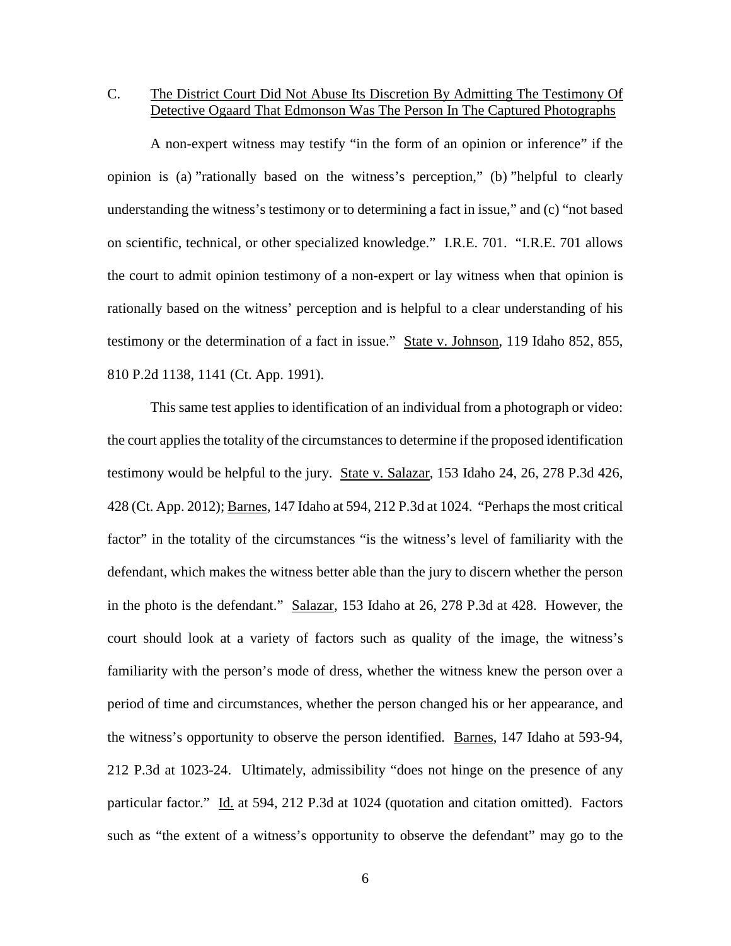# C. The District Court Did Not Abuse Its Discretion By Admitting The Testimony Of Detective Ogaard That Edmonson Was The Person In The Captured Photographs

A non-expert witness may testify "in the form of an opinion or inference" if the opinion is (a) "rationally based on the witness's perception," (b) "helpful to clearly understanding the witness's testimony or to determining a fact in issue," and (c) "not based on scientific, technical, or other specialized knowledge." I.R.E. 701. "I.R.E. 701 allows the court to admit opinion testimony of a non-expert or lay witness when that opinion is rationally based on the witness' perception and is helpful to a clear understanding of his testimony or the determination of a fact in issue." State v. Johnson, 119 Idaho 852, 855, 810 P.2d 1138, 1141 (Ct. App. 1991).

This same test applies to identification of an individual from a photograph or video: the court applies the totality of the circumstances to determine if the proposed identification testimony would be helpful to the jury. State v. Salazar, 153 Idaho 24, 26, 278 P.3d 426, 428 (Ct. App. 2012); Barnes, 147 Idaho at 594, 212 P.3d at 1024. "Perhaps the most critical factor" in the totality of the circumstances "is the witness's level of familiarity with the defendant, which makes the witness better able than the jury to discern whether the person in the photo is the defendant." Salazar, 153 Idaho at 26, 278 P.3d at 428. However, the court should look at a variety of factors such as quality of the image, the witness's familiarity with the person's mode of dress, whether the witness knew the person over a period of time and circumstances, whether the person changed his or her appearance, and the witness's opportunity to observe the person identified. Barnes, 147 Idaho at 593-94, 212 P.3d at 1023-24. Ultimately, admissibility "does not hinge on the presence of any particular factor." Id. at 594, 212 P.3d at 1024 (quotation and citation omitted). Factors such as "the extent of a witness's opportunity to observe the defendant" may go to the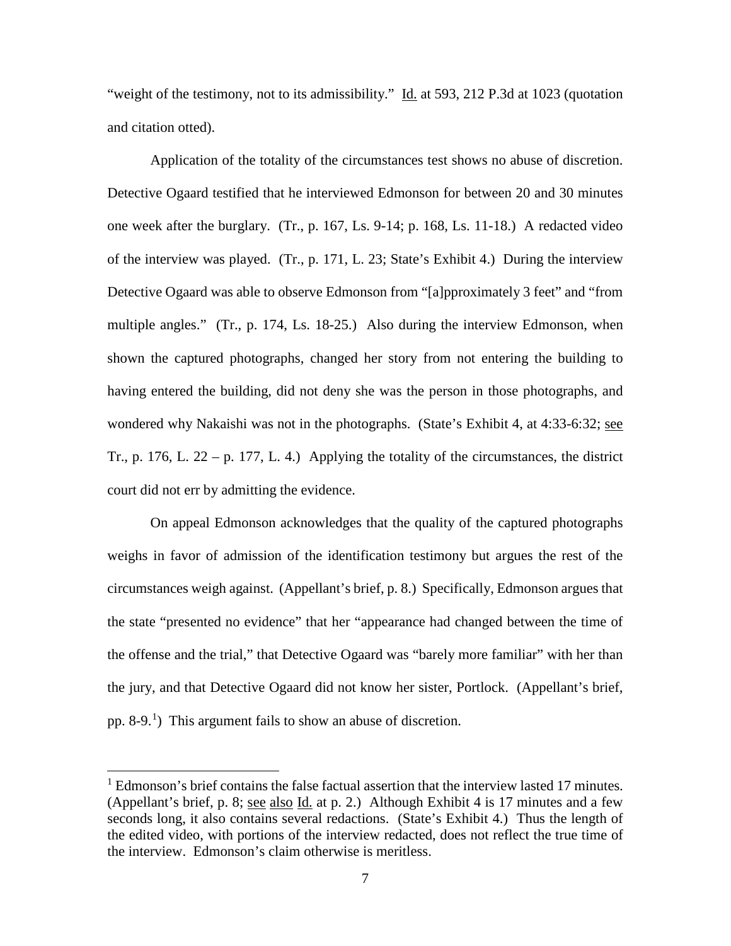"weight of the testimony, not to its admissibility." Id. at 593, 212 P.3d at 1023 (quotation and citation otted).

Application of the totality of the circumstances test shows no abuse of discretion. Detective Ogaard testified that he interviewed Edmonson for between 20 and 30 minutes one week after the burglary. (Tr., p. 167, Ls. 9-14; p. 168, Ls. 11-18.) A redacted video of the interview was played. (Tr., p. 171, L. 23; State's Exhibit 4.) During the interview Detective Ogaard was able to observe Edmonson from "[a]pproximately 3 feet" and "from multiple angles." (Tr., p. 174, Ls. 18-25.) Also during the interview Edmonson, when shown the captured photographs, changed her story from not entering the building to having entered the building, did not deny she was the person in those photographs, and wondered why Nakaishi was not in the photographs. (State's Exhibit 4, at 4:33-6:32; see Tr., p. 176, L.  $22 - p$ . 177, L. 4.) Applying the totality of the circumstances, the district court did not err by admitting the evidence.

On appeal Edmonson acknowledges that the quality of the captured photographs weighs in favor of admission of the identification testimony but argues the rest of the circumstances weigh against. (Appellant's brief, p. 8.) Specifically, Edmonson argues that the state "presented no evidence" that her "appearance had changed between the time of the offense and the trial," that Detective Ogaard was "barely more familiar" with her than the jury, and that Detective Ogaard did not know her sister, Portlock. (Appellant's brief, pp. 8-9.<sup>[1](#page--1-0)</sup>) This argument fails to show an abuse of discretion.

 $\overline{a}$ 

 $1$  Edmonson's brief contains the false factual assertion that the interview lasted 17 minutes. (Appellant's brief, p. 8; see also Id. at p. 2.) Although Exhibit 4 is 17 minutes and a few seconds long, it also contains several redactions. (State's Exhibit 4.) Thus the length of the edited video, with portions of the interview redacted, does not reflect the true time of the interview. Edmonson's claim otherwise is meritless.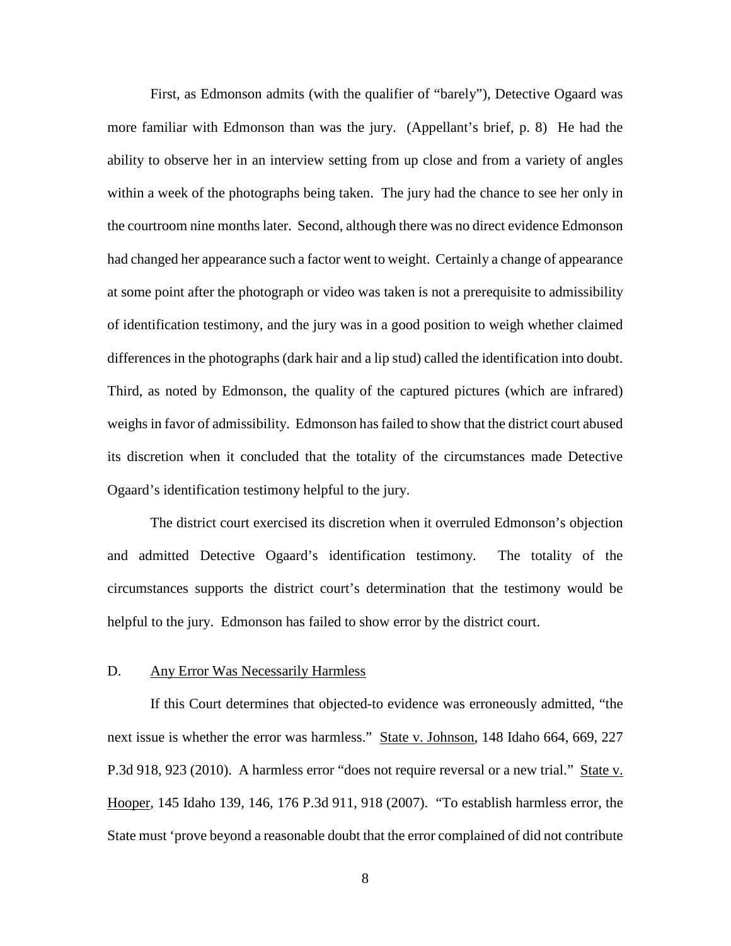First, as Edmonson admits (with the qualifier of "barely"), Detective Ogaard was more familiar with Edmonson than was the jury. (Appellant's brief, p. 8) He had the ability to observe her in an interview setting from up close and from a variety of angles within a week of the photographs being taken. The jury had the chance to see her only in the courtroom nine months later. Second, although there was no direct evidence Edmonson had changed her appearance such a factor went to weight. Certainly a change of appearance at some point after the photograph or video was taken is not a prerequisite to admissibility of identification testimony, and the jury was in a good position to weigh whether claimed differences in the photographs (dark hair and a lip stud) called the identification into doubt. Third, as noted by Edmonson, the quality of the captured pictures (which are infrared) weighs in favor of admissibility. Edmonson has failed to show that the district court abused its discretion when it concluded that the totality of the circumstances made Detective Ogaard's identification testimony helpful to the jury.

The district court exercised its discretion when it overruled Edmonson's objection and admitted Detective Ogaard's identification testimony. The totality of the circumstances supports the district court's determination that the testimony would be helpful to the jury. Edmonson has failed to show error by the district court.

### D. Any Error Was Necessarily Harmless

If this Court determines that objected-to evidence was erroneously admitted, "the next issue is whether the error was harmless." State v. Johnson, 148 Idaho 664, 669, 227 P.3d 918, 923 (2010). A harmless error "does not require reversal or a new trial." State v. Hooper, 145 Idaho 139, 146, 176 P.3d 911, 918 (2007). "To establish harmless error, the State must 'prove beyond a reasonable doubt that the error complained of did not contribute

8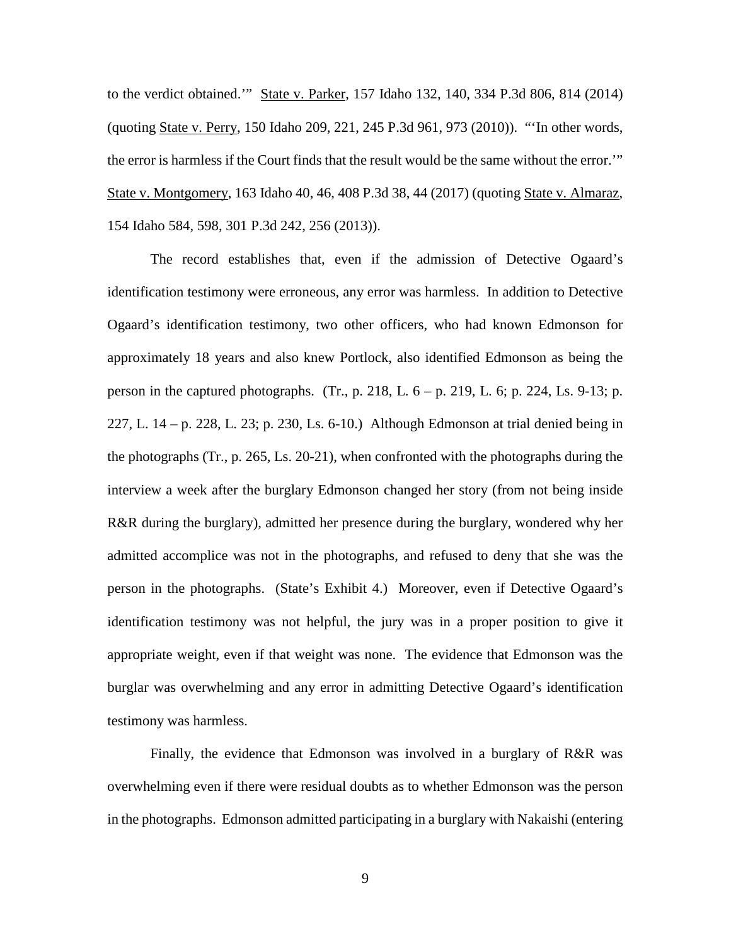to the verdict obtained.'" State v. Parker, 157 Idaho 132, 140, 334 P.3d 806, 814 (2014) (quoting State v. Perry, 150 Idaho 209, 221, 245 P.3d 961, 973 (2010)). "'In other words, the error is harmless if the Court finds that the result would be the same without the error.'" State v. Montgomery, 163 Idaho 40, 46, 408 P.3d 38, 44 (2017) (quoting State v. Almaraz, 154 Idaho 584, 598, 301 P.3d 242, 256 (2013)).

The record establishes that, even if the admission of Detective Ogaard's identification testimony were erroneous, any error was harmless. In addition to Detective Ogaard's identification testimony, two other officers, who had known Edmonson for approximately 18 years and also knew Portlock, also identified Edmonson as being the person in the captured photographs. (Tr., p. 218, L. 6 – p. 219, L. 6; p. 224, Ls. 9-13; p. 227, L. 14 – p. 228, L. 23; p. 230, Ls. 6-10.) Although Edmonson at trial denied being in the photographs (Tr., p. 265, Ls. 20-21), when confronted with the photographs during the interview a week after the burglary Edmonson changed her story (from not being inside R&R during the burglary), admitted her presence during the burglary, wondered why her admitted accomplice was not in the photographs, and refused to deny that she was the person in the photographs. (State's Exhibit 4.) Moreover, even if Detective Ogaard's identification testimony was not helpful, the jury was in a proper position to give it appropriate weight, even if that weight was none. The evidence that Edmonson was the burglar was overwhelming and any error in admitting Detective Ogaard's identification testimony was harmless.

Finally, the evidence that Edmonson was involved in a burglary of R&R was overwhelming even if there were residual doubts as to whether Edmonson was the person in the photographs. Edmonson admitted participating in a burglary with Nakaishi (entering